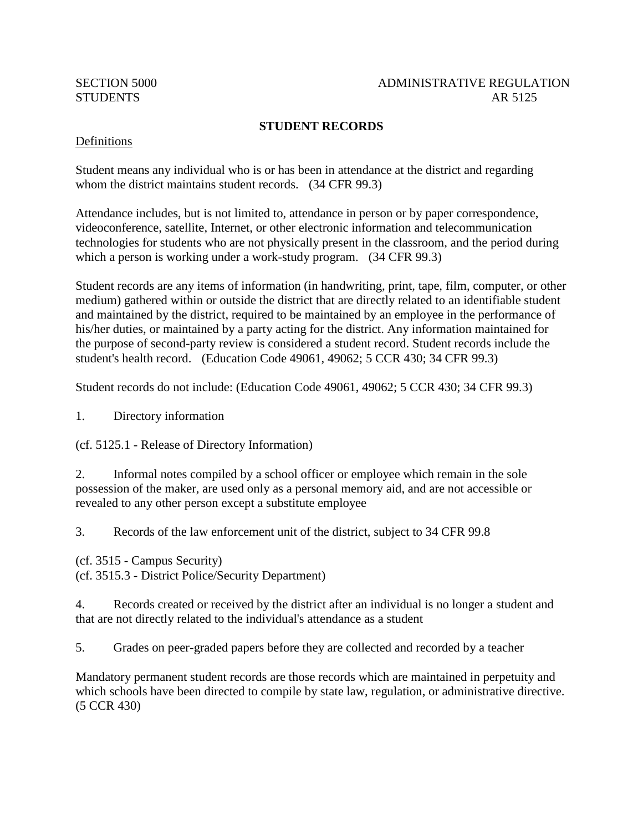#### SECTION 5000 ADMINISTRATIVE REGULATION STUDENTS AR 5125

## **STUDENT RECORDS**

#### Definitions

Student means any individual who is or has been in attendance at the district and regarding whom the district maintains student records. (34 CFR 99.3)

Attendance includes, but is not limited to, attendance in person or by paper correspondence, videoconference, satellite, Internet, or other electronic information and telecommunication technologies for students who are not physically present in the classroom, and the period during which a person is working under a work-study program. (34 CFR 99.3)

Student records are any items of information (in handwriting, print, tape, film, computer, or other medium) gathered within or outside the district that are directly related to an identifiable student and maintained by the district, required to be maintained by an employee in the performance of his/her duties, or maintained by a party acting for the district. Any information maintained for the purpose of second-party review is considered a student record. Student records include the student's health record. (Education Code 49061, 49062; 5 CCR 430; 34 CFR 99.3)

Student records do not include: (Education Code 49061, 49062; 5 CCR 430; 34 CFR 99.3)

1. Directory information

(cf. 5125.1 - Release of Directory Information)

2. Informal notes compiled by a school officer or employee which remain in the sole possession of the maker, are used only as a personal memory aid, and are not accessible or revealed to any other person except a substitute employee

3. Records of the law enforcement unit of the district, subject to 34 CFR 99.8

(cf. 3515 - Campus Security) (cf. 3515.3 - District Police/Security Department)

4. Records created or received by the district after an individual is no longer a student and that are not directly related to the individual's attendance as a student

5. Grades on peer-graded papers before they are collected and recorded by a teacher

Mandatory permanent student records are those records which are maintained in perpetuity and which schools have been directed to compile by state law, regulation, or administrative directive. (5 CCR 430)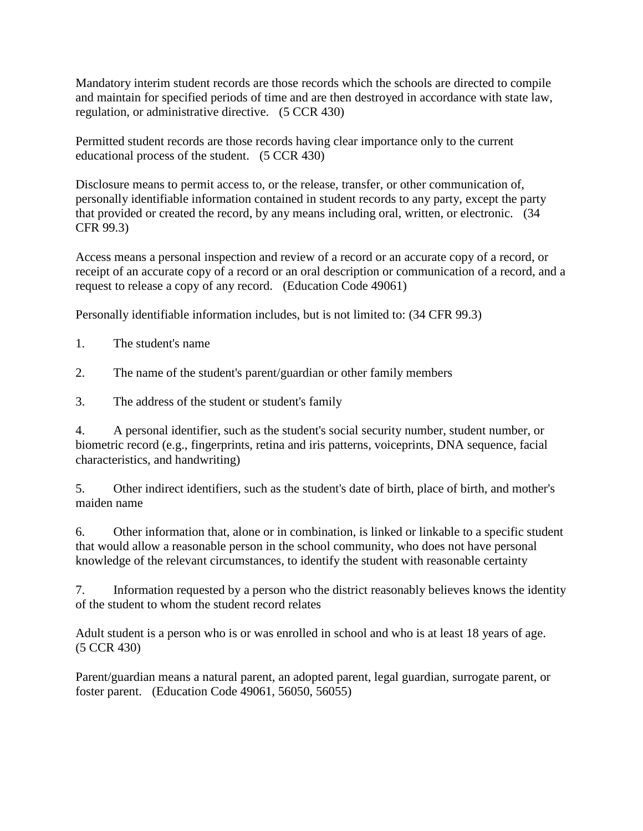Mandatory interim student records are those records which the schools are directed to compile and maintain for specified periods of time and are then destroyed in accordance with state law, regulation, or administrative directive. (5 CCR 430)

Permitted student records are those records having clear importance only to the current educational process of the student. (5 CCR 430)

Disclosure means to permit access to, or the release, transfer, or other communication of, personally identifiable information contained in student records to any party, except the party that provided or created the record, by any means including oral, written, or electronic. (34 CFR 99.3)

Access means a personal inspection and review of a record or an accurate copy of a record, or receipt of an accurate copy of a record or an oral description or communication of a record, and a request to release a copy of any record. (Education Code 49061)

Personally identifiable information includes, but is not limited to: (34 CFR 99.3)

- 1. The student's name
- 2. The name of the student's parent/guardian or other family members
- 3. The address of the student or student's family

4. A personal identifier, such as the student's social security number, student number, or biometric record (e.g., fingerprints, retina and iris patterns, voiceprints, DNA sequence, facial characteristics, and handwriting)

5. Other indirect identifiers, such as the student's date of birth, place of birth, and mother's maiden name

6. Other information that, alone or in combination, is linked or linkable to a specific student that would allow a reasonable person in the school community, who does not have personal knowledge of the relevant circumstances, to identify the student with reasonable certainty

7. Information requested by a person who the district reasonably believes knows the identity of the student to whom the student record relates

Adult student is a person who is or was enrolled in school and who is at least 18 years of age. (5 CCR 430)

Parent/guardian means a natural parent, an adopted parent, legal guardian, surrogate parent, or foster parent. (Education Code 49061, 56050, 56055)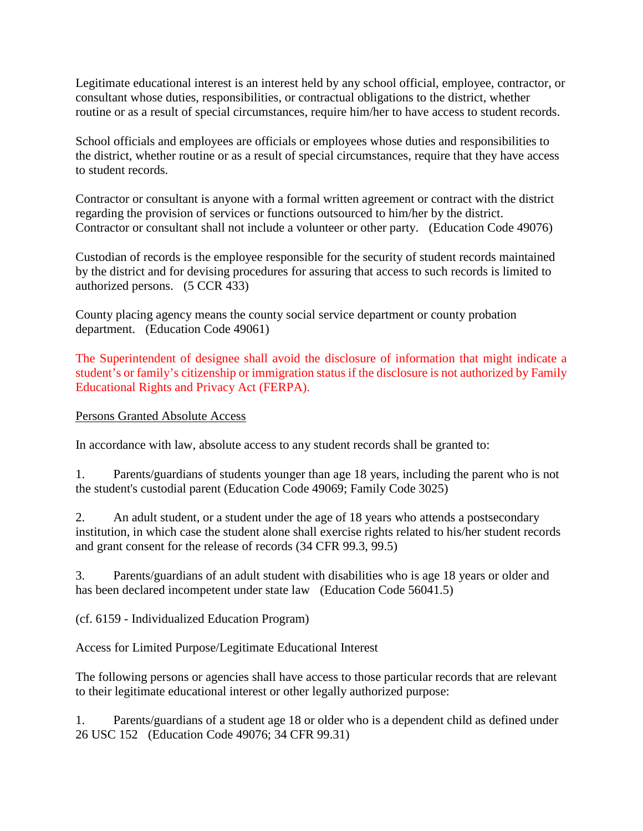Legitimate educational interest is an interest held by any school official, employee, contractor, or consultant whose duties, responsibilities, or contractual obligations to the district, whether routine or as a result of special circumstances, require him/her to have access to student records.

School officials and employees are officials or employees whose duties and responsibilities to the district, whether routine or as a result of special circumstances, require that they have access to student records.

Contractor or consultant is anyone with a formal written agreement or contract with the district regarding the provision of services or functions outsourced to him/her by the district. Contractor or consultant shall not include a volunteer or other party. (Education Code 49076)

Custodian of records is the employee responsible for the security of student records maintained by the district and for devising procedures for assuring that access to such records is limited to authorized persons. (5 CCR 433)

County placing agency means the county social service department or county probation department. (Education Code 49061)

The Superintendent of designee shall avoid the disclosure of information that might indicate a student's or family's citizenship or immigration status if the disclosure is not authorized by Family Educational Rights and Privacy Act (FERPA).

Persons Granted Absolute Access

In accordance with law, absolute access to any student records shall be granted to:

1. Parents/guardians of students younger than age 18 years, including the parent who is not the student's custodial parent (Education Code 49069; Family Code 3025)

2. An adult student, or a student under the age of 18 years who attends a postsecondary institution, in which case the student alone shall exercise rights related to his/her student records and grant consent for the release of records (34 CFR 99.3, 99.5)

3. Parents/guardians of an adult student with disabilities who is age 18 years or older and has been declared incompetent under state law (Education Code 56041.5)

(cf. 6159 - Individualized Education Program)

Access for Limited Purpose/Legitimate Educational Interest

The following persons or agencies shall have access to those particular records that are relevant to their legitimate educational interest or other legally authorized purpose:

1. Parents/guardians of a student age 18 or older who is a dependent child as defined under 26 USC 152 (Education Code 49076; 34 CFR 99.31)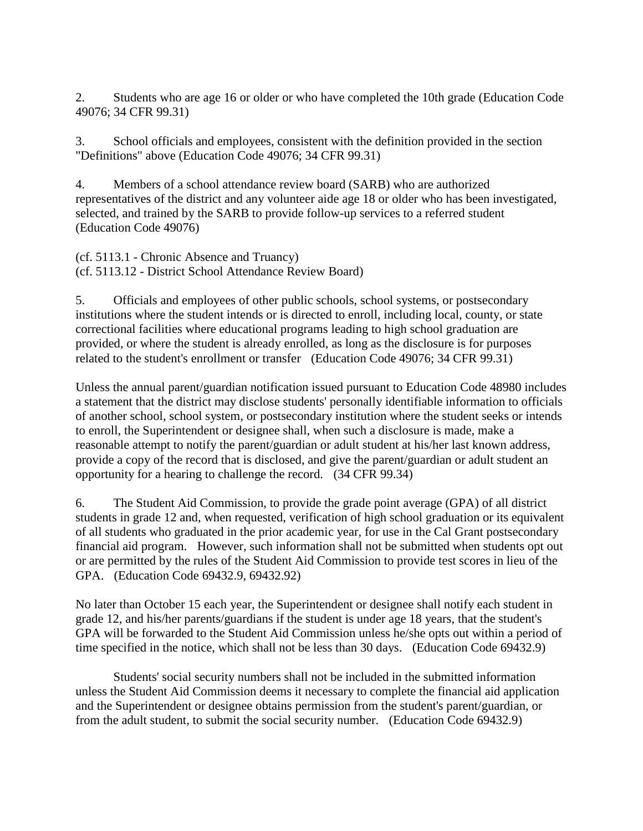2. Students who are age 16 or older or who have completed the 10th grade (Education Code 49076; 34 CFR 99.31)

3. School officials and employees, consistent with the definition provided in the section "Definitions" above (Education Code 49076; 34 CFR 99.31)

4. Members of a school attendance review board (SARB) who are authorized representatives of the district and any volunteer aide age 18 or older who has been investigated, selected, and trained by the SARB to provide follow-up services to a referred student (Education Code 49076)

(cf. 5113.1 - Chronic Absence and Truancy) (cf. 5113.12 - District School Attendance Review Board)

5. Officials and employees of other public schools, school systems, or postsecondary institutions where the student intends or is directed to enroll, including local, county, or state correctional facilities where educational programs leading to high school graduation are provided, or where the student is already enrolled, as long as the disclosure is for purposes related to the student's enrollment or transfer (Education Code 49076; 34 CFR 99.31)

Unless the annual parent/guardian notification issued pursuant to Education Code 48980 includes a statement that the district may disclose students' personally identifiable information to officials of another school, school system, or postsecondary institution where the student seeks or intends to enroll, the Superintendent or designee shall, when such a disclosure is made, make a reasonable attempt to notify the parent/guardian or adult student at his/her last known address, provide a copy of the record that is disclosed, and give the parent/guardian or adult student an opportunity for a hearing to challenge the record. (34 CFR 99.34)

6. The Student Aid Commission, to provide the grade point average (GPA) of all district students in grade 12 and, when requested, verification of high school graduation or its equivalent of all students who graduated in the prior academic year, for use in the Cal Grant postsecondary financial aid program. However, such information shall not be submitted when students opt out or are permitted by the rules of the Student Aid Commission to provide test scores in lieu of the GPA. (Education Code 69432.9, 69432.92)

No later than October 15 each year, the Superintendent or designee shall notify each student in grade 12, and his/her parents/guardians if the student is under age 18 years, that the student's GPA will be forwarded to the Student Aid Commission unless he/she opts out within a period of time specified in the notice, which shall not be less than 30 days. (Education Code 69432.9)

Students' social security numbers shall not be included in the submitted information unless the Student Aid Commission deems it necessary to complete the financial aid application and the Superintendent or designee obtains permission from the student's parent/guardian, or from the adult student, to submit the social security number. (Education Code 69432.9)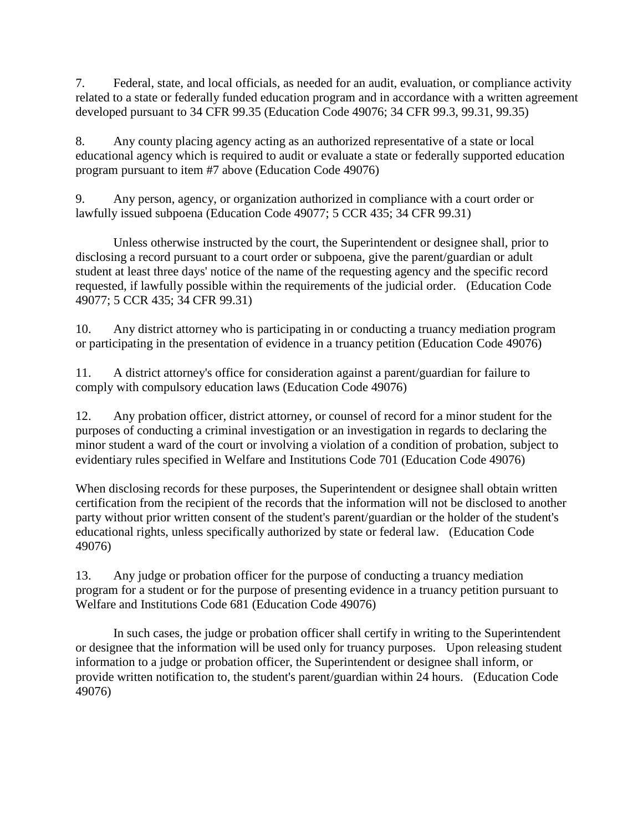7. Federal, state, and local officials, as needed for an audit, evaluation, or compliance activity related to a state or federally funded education program and in accordance with a written agreement developed pursuant to 34 CFR 99.35 (Education Code 49076; 34 CFR 99.3, 99.31, 99.35)

8. Any county placing agency acting as an authorized representative of a state or local educational agency which is required to audit or evaluate a state or federally supported education program pursuant to item #7 above (Education Code 49076)

9. Any person, agency, or organization authorized in compliance with a court order or lawfully issued subpoena (Education Code 49077; 5 CCR 435; 34 CFR 99.31)

Unless otherwise instructed by the court, the Superintendent or designee shall, prior to disclosing a record pursuant to a court order or subpoena, give the parent/guardian or adult student at least three days' notice of the name of the requesting agency and the specific record requested, if lawfully possible within the requirements of the judicial order. (Education Code 49077; 5 CCR 435; 34 CFR 99.31)

10. Any district attorney who is participating in or conducting a truancy mediation program or participating in the presentation of evidence in a truancy petition (Education Code 49076)

11. A district attorney's office for consideration against a parent/guardian for failure to comply with compulsory education laws (Education Code 49076)

12. Any probation officer, district attorney, or counsel of record for a minor student for the purposes of conducting a criminal investigation or an investigation in regards to declaring the minor student a ward of the court or involving a violation of a condition of probation, subject to evidentiary rules specified in Welfare and Institutions Code 701 (Education Code 49076)

When disclosing records for these purposes, the Superintendent or designee shall obtain written certification from the recipient of the records that the information will not be disclosed to another party without prior written consent of the student's parent/guardian or the holder of the student's educational rights, unless specifically authorized by state or federal law. (Education Code 49076)

13. Any judge or probation officer for the purpose of conducting a truancy mediation program for a student or for the purpose of presenting evidence in a truancy petition pursuant to Welfare and Institutions Code 681 (Education Code 49076)

In such cases, the judge or probation officer shall certify in writing to the Superintendent or designee that the information will be used only for truancy purposes. Upon releasing student information to a judge or probation officer, the Superintendent or designee shall inform, or provide written notification to, the student's parent/guardian within 24 hours. (Education Code 49076)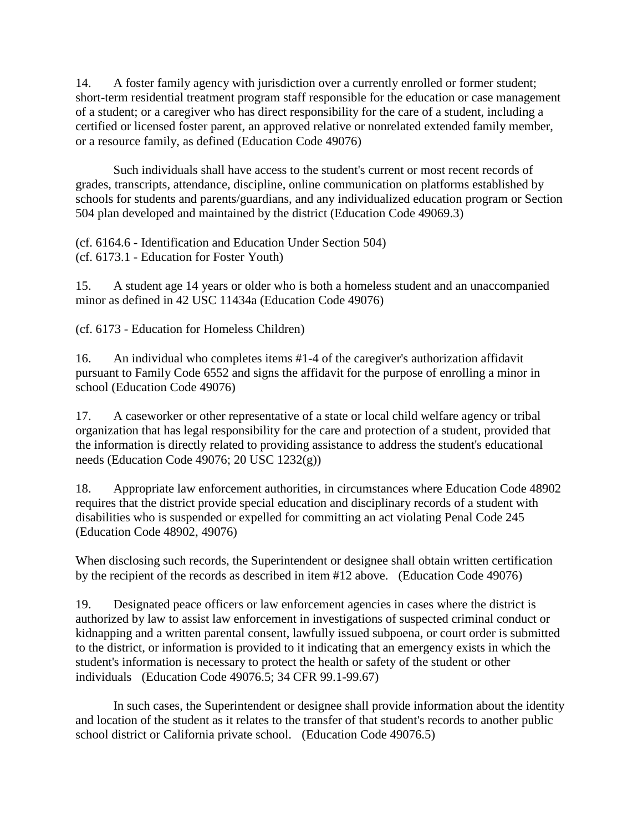14. A foster family agency with jurisdiction over a currently enrolled or former student; short-term residential treatment program staff responsible for the education or case management of a student; or a caregiver who has direct responsibility for the care of a student, including a certified or licensed foster parent, an approved relative or nonrelated extended family member, or a resource family, as defined (Education Code 49076)

Such individuals shall have access to the student's current or most recent records of grades, transcripts, attendance, discipline, online communication on platforms established by schools for students and parents/guardians, and any individualized education program or Section 504 plan developed and maintained by the district (Education Code 49069.3)

(cf. 6164.6 - Identification and Education Under Section 504) (cf. 6173.1 - Education for Foster Youth)

15. A student age 14 years or older who is both a homeless student and an unaccompanied minor as defined in 42 USC 11434a (Education Code 49076)

(cf. 6173 - Education for Homeless Children)

16. An individual who completes items #1-4 of the caregiver's authorization affidavit pursuant to Family Code 6552 and signs the affidavit for the purpose of enrolling a minor in school (Education Code 49076)

17. A caseworker or other representative of a state or local child welfare agency or tribal organization that has legal responsibility for the care and protection of a student, provided that the information is directly related to providing assistance to address the student's educational needs (Education Code 49076; 20 USC 1232(g))

18. Appropriate law enforcement authorities, in circumstances where Education Code 48902 requires that the district provide special education and disciplinary records of a student with disabilities who is suspended or expelled for committing an act violating Penal Code 245 (Education Code 48902, 49076)

When disclosing such records, the Superintendent or designee shall obtain written certification by the recipient of the records as described in item #12 above. (Education Code 49076)

19. Designated peace officers or law enforcement agencies in cases where the district is authorized by law to assist law enforcement in investigations of suspected criminal conduct or kidnapping and a written parental consent, lawfully issued subpoena, or court order is submitted to the district, or information is provided to it indicating that an emergency exists in which the student's information is necessary to protect the health or safety of the student or other individuals (Education Code 49076.5; 34 CFR 99.1-99.67)

In such cases, the Superintendent or designee shall provide information about the identity and location of the student as it relates to the transfer of that student's records to another public school district or California private school. (Education Code 49076.5)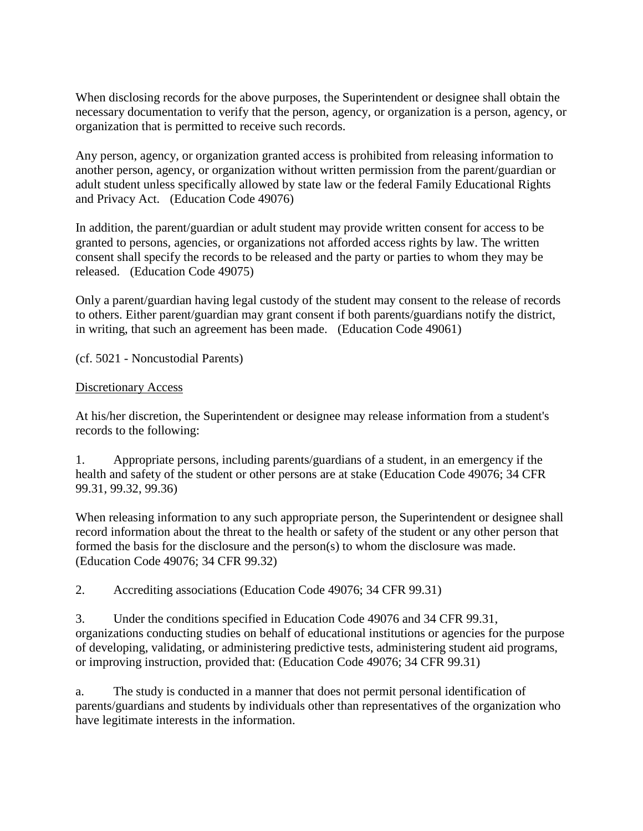When disclosing records for the above purposes, the Superintendent or designee shall obtain the necessary documentation to verify that the person, agency, or organization is a person, agency, or organization that is permitted to receive such records.

Any person, agency, or organization granted access is prohibited from releasing information to another person, agency, or organization without written permission from the parent/guardian or adult student unless specifically allowed by state law or the federal Family Educational Rights and Privacy Act. (Education Code 49076)

In addition, the parent/guardian or adult student may provide written consent for access to be granted to persons, agencies, or organizations not afforded access rights by law. The written consent shall specify the records to be released and the party or parties to whom they may be released. (Education Code 49075)

Only a parent/guardian having legal custody of the student may consent to the release of records to others. Either parent/guardian may grant consent if both parents/guardians notify the district, in writing, that such an agreement has been made. (Education Code 49061)

(cf. 5021 - Noncustodial Parents)

#### Discretionary Access

At his/her discretion, the Superintendent or designee may release information from a student's records to the following:

1. Appropriate persons, including parents/guardians of a student, in an emergency if the health and safety of the student or other persons are at stake (Education Code 49076; 34 CFR 99.31, 99.32, 99.36)

When releasing information to any such appropriate person, the Superintendent or designee shall record information about the threat to the health or safety of the student or any other person that formed the basis for the disclosure and the person(s) to whom the disclosure was made. (Education Code 49076; 34 CFR 99.32)

2. Accrediting associations (Education Code 49076; 34 CFR 99.31)

3. Under the conditions specified in Education Code 49076 and 34 CFR 99.31, organizations conducting studies on behalf of educational institutions or agencies for the purpose of developing, validating, or administering predictive tests, administering student aid programs, or improving instruction, provided that: (Education Code 49076; 34 CFR 99.31)

a. The study is conducted in a manner that does not permit personal identification of parents/guardians and students by individuals other than representatives of the organization who have legitimate interests in the information.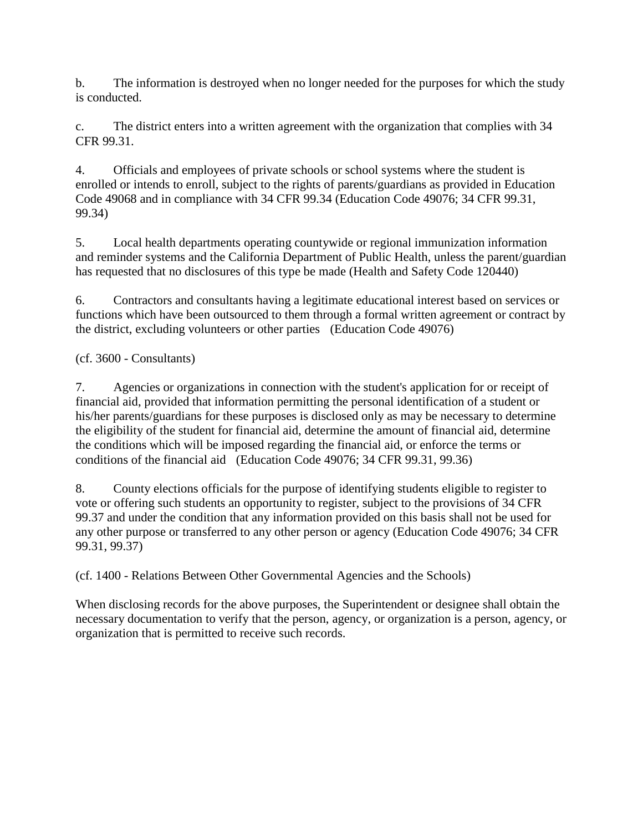b. The information is destroyed when no longer needed for the purposes for which the study is conducted.

c. The district enters into a written agreement with the organization that complies with 34 CFR 99.31.

4. Officials and employees of private schools or school systems where the student is enrolled or intends to enroll, subject to the rights of parents/guardians as provided in Education Code 49068 and in compliance with 34 CFR 99.34 (Education Code 49076; 34 CFR 99.31, 99.34)

5. Local health departments operating countywide or regional immunization information and reminder systems and the California Department of Public Health, unless the parent/guardian has requested that no disclosures of this type be made (Health and Safety Code 120440)

6. Contractors and consultants having a legitimate educational interest based on services or functions which have been outsourced to them through a formal written agreement or contract by the district, excluding volunteers or other parties (Education Code 49076)

## (cf. 3600 - Consultants)

7. Agencies or organizations in connection with the student's application for or receipt of financial aid, provided that information permitting the personal identification of a student or his/her parents/guardians for these purposes is disclosed only as may be necessary to determine the eligibility of the student for financial aid, determine the amount of financial aid, determine the conditions which will be imposed regarding the financial aid, or enforce the terms or conditions of the financial aid (Education Code 49076; 34 CFR 99.31, 99.36)

8. County elections officials for the purpose of identifying students eligible to register to vote or offering such students an opportunity to register, subject to the provisions of 34 CFR 99.37 and under the condition that any information provided on this basis shall not be used for any other purpose or transferred to any other person or agency (Education Code 49076; 34 CFR 99.31, 99.37)

(cf. 1400 - Relations Between Other Governmental Agencies and the Schools)

When disclosing records for the above purposes, the Superintendent or designee shall obtain the necessary documentation to verify that the person, agency, or organization is a person, agency, or organization that is permitted to receive such records.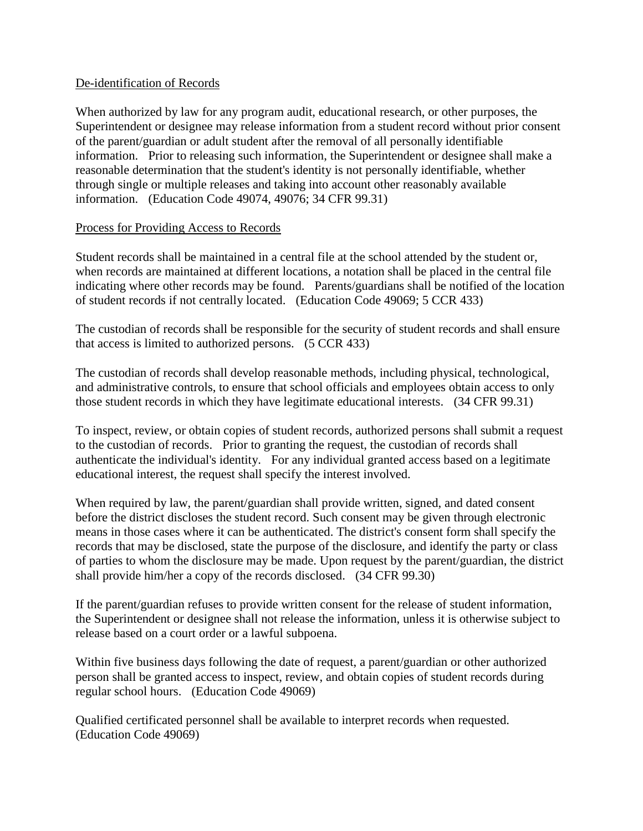#### De-identification of Records

When authorized by law for any program audit, educational research, or other purposes, the Superintendent or designee may release information from a student record without prior consent of the parent/guardian or adult student after the removal of all personally identifiable information. Prior to releasing such information, the Superintendent or designee shall make a reasonable determination that the student's identity is not personally identifiable, whether through single or multiple releases and taking into account other reasonably available information. (Education Code 49074, 49076; 34 CFR 99.31)

### Process for Providing Access to Records

Student records shall be maintained in a central file at the school attended by the student or, when records are maintained at different locations, a notation shall be placed in the central file indicating where other records may be found. Parents/guardians shall be notified of the location of student records if not centrally located. (Education Code 49069; 5 CCR 433)

The custodian of records shall be responsible for the security of student records and shall ensure that access is limited to authorized persons. (5 CCR 433)

The custodian of records shall develop reasonable methods, including physical, technological, and administrative controls, to ensure that school officials and employees obtain access to only those student records in which they have legitimate educational interests. (34 CFR 99.31)

To inspect, review, or obtain copies of student records, authorized persons shall submit a request to the custodian of records. Prior to granting the request, the custodian of records shall authenticate the individual's identity. For any individual granted access based on a legitimate educational interest, the request shall specify the interest involved.

When required by law, the parent/guardian shall provide written, signed, and dated consent before the district discloses the student record. Such consent may be given through electronic means in those cases where it can be authenticated. The district's consent form shall specify the records that may be disclosed, state the purpose of the disclosure, and identify the party or class of parties to whom the disclosure may be made. Upon request by the parent/guardian, the district shall provide him/her a copy of the records disclosed. (34 CFR 99.30)

If the parent/guardian refuses to provide written consent for the release of student information, the Superintendent or designee shall not release the information, unless it is otherwise subject to release based on a court order or a lawful subpoena.

Within five business days following the date of request, a parent/guardian or other authorized person shall be granted access to inspect, review, and obtain copies of student records during regular school hours. (Education Code 49069)

Qualified certificated personnel shall be available to interpret records when requested. (Education Code 49069)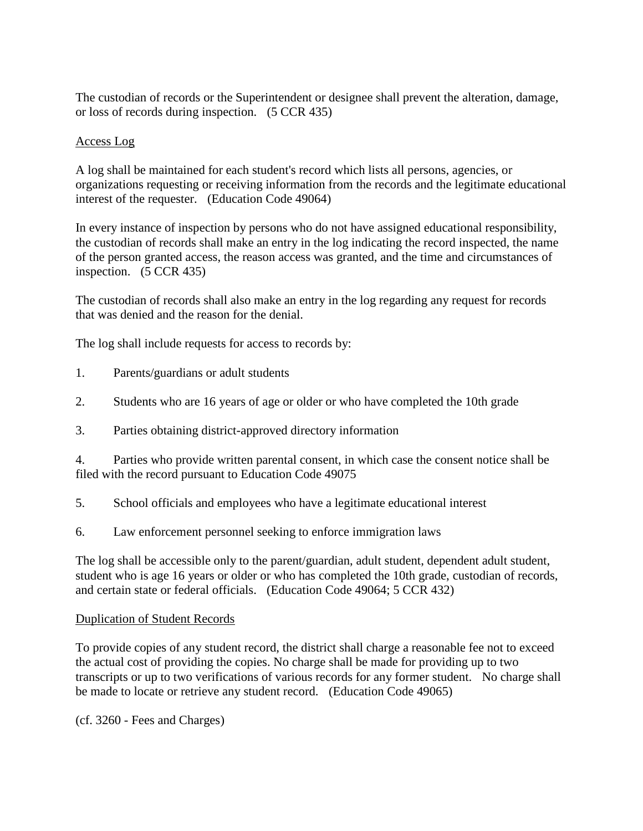The custodian of records or the Superintendent or designee shall prevent the alteration, damage, or loss of records during inspection. (5 CCR 435)

## Access Log

A log shall be maintained for each student's record which lists all persons, agencies, or organizations requesting or receiving information from the records and the legitimate educational interest of the requester. (Education Code 49064)

In every instance of inspection by persons who do not have assigned educational responsibility, the custodian of records shall make an entry in the log indicating the record inspected, the name of the person granted access, the reason access was granted, and the time and circumstances of inspection. (5 CCR 435)

The custodian of records shall also make an entry in the log regarding any request for records that was denied and the reason for the denial.

The log shall include requests for access to records by:

- 1. Parents/guardians or adult students
- 2. Students who are 16 years of age or older or who have completed the 10th grade
- 3. Parties obtaining district-approved directory information

4. Parties who provide written parental consent, in which case the consent notice shall be filed with the record pursuant to Education Code 49075

- 5. School officials and employees who have a legitimate educational interest
- 6. Law enforcement personnel seeking to enforce immigration laws

The log shall be accessible only to the parent/guardian, adult student, dependent adult student, student who is age 16 years or older or who has completed the 10th grade, custodian of records, and certain state or federal officials. (Education Code 49064; 5 CCR 432)

## Duplication of Student Records

To provide copies of any student record, the district shall charge a reasonable fee not to exceed the actual cost of providing the copies. No charge shall be made for providing up to two transcripts or up to two verifications of various records for any former student. No charge shall be made to locate or retrieve any student record. (Education Code 49065)

(cf. 3260 - Fees and Charges)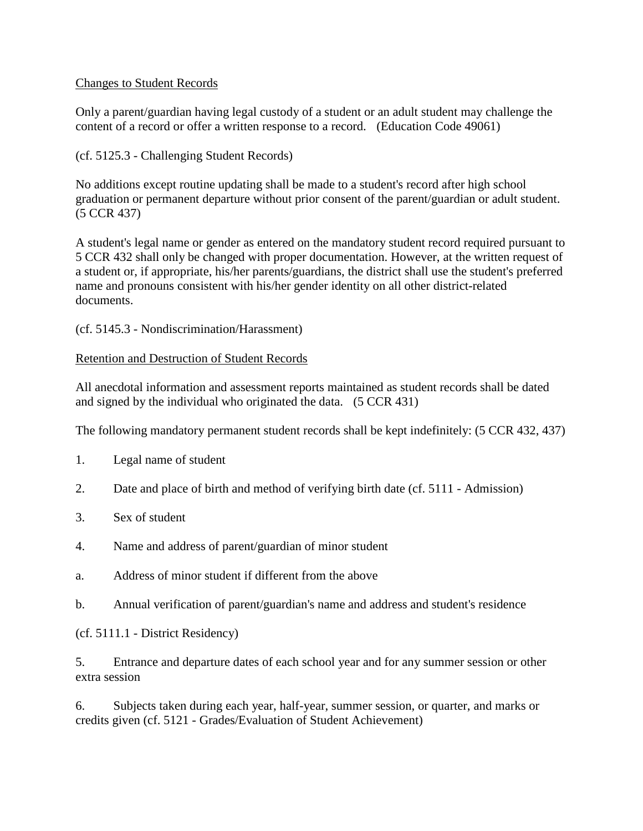## Changes to Student Records

Only a parent/guardian having legal custody of a student or an adult student may challenge the content of a record or offer a written response to a record. (Education Code 49061)

(cf. 5125.3 - Challenging Student Records)

No additions except routine updating shall be made to a student's record after high school graduation or permanent departure without prior consent of the parent/guardian or adult student. (5 CCR 437)

A student's legal name or gender as entered on the mandatory student record required pursuant to 5 CCR 432 shall only be changed with proper documentation. However, at the written request of a student or, if appropriate, his/her parents/guardians, the district shall use the student's preferred name and pronouns consistent with his/her gender identity on all other district-related documents.

(cf. 5145.3 - Nondiscrimination/Harassment)

### Retention and Destruction of Student Records

All anecdotal information and assessment reports maintained as student records shall be dated and signed by the individual who originated the data. (5 CCR 431)

The following mandatory permanent student records shall be kept indefinitely: (5 CCR 432, 437)

- 1. Legal name of student
- 2. Date and place of birth and method of verifying birth date (cf. 5111 Admission)
- 3. Sex of student
- 4. Name and address of parent/guardian of minor student
- a. Address of minor student if different from the above
- b. Annual verification of parent/guardian's name and address and student's residence

(cf. 5111.1 - District Residency)

5. Entrance and departure dates of each school year and for any summer session or other extra session

6. Subjects taken during each year, half-year, summer session, or quarter, and marks or credits given (cf. 5121 - Grades/Evaluation of Student Achievement)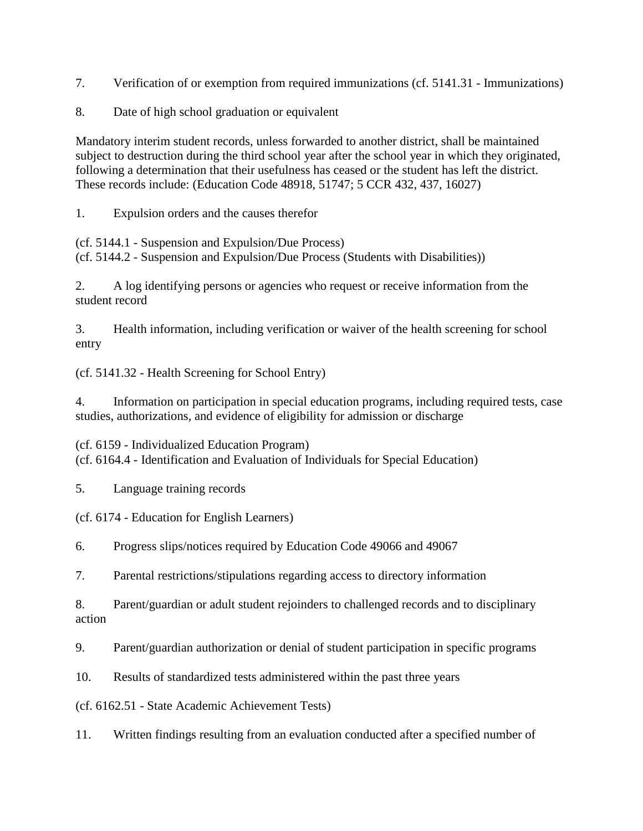7. Verification of or exemption from required immunizations (cf. 5141.31 - Immunizations)

8. Date of high school graduation or equivalent

Mandatory interim student records, unless forwarded to another district, shall be maintained subject to destruction during the third school year after the school year in which they originated, following a determination that their usefulness has ceased or the student has left the district. These records include: (Education Code 48918, 51747; 5 CCR 432, 437, 16027)

1. Expulsion orders and the causes therefor

(cf. 5144.1 - Suspension and Expulsion/Due Process) (cf. 5144.2 - Suspension and Expulsion/Due Process (Students with Disabilities))

2. A log identifying persons or agencies who request or receive information from the student record

3. Health information, including verification or waiver of the health screening for school entry

(cf. 5141.32 - Health Screening for School Entry)

4. Information on participation in special education programs, including required tests, case studies, authorizations, and evidence of eligibility for admission or discharge

(cf. 6159 - Individualized Education Program) (cf. 6164.4 - Identification and Evaluation of Individuals for Special Education)

5. Language training records

(cf. 6174 - Education for English Learners)

6. Progress slips/notices required by Education Code 49066 and 49067

7. Parental restrictions/stipulations regarding access to directory information

8. Parent/guardian or adult student rejoinders to challenged records and to disciplinary action

9. Parent/guardian authorization or denial of student participation in specific programs

10. Results of standardized tests administered within the past three years

(cf. 6162.51 - State Academic Achievement Tests)

11. Written findings resulting from an evaluation conducted after a specified number of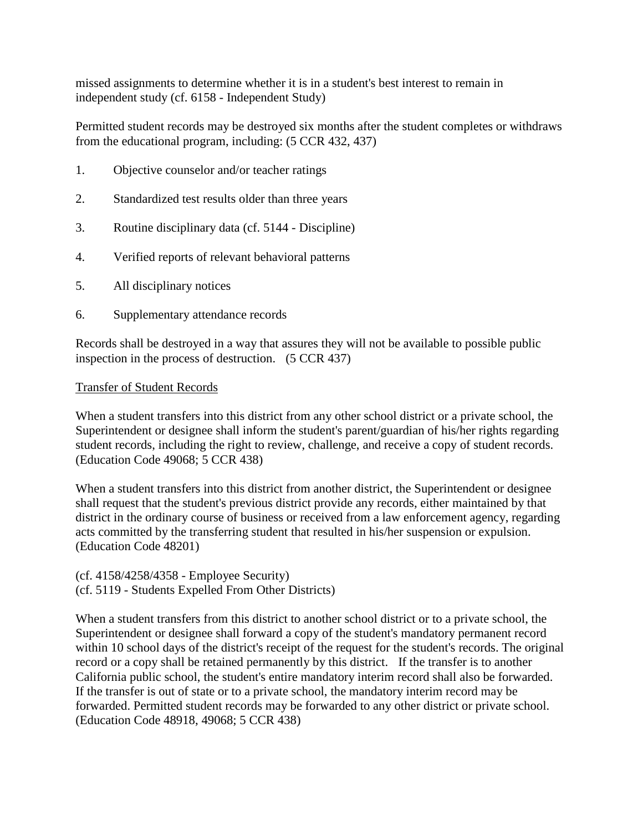missed assignments to determine whether it is in a student's best interest to remain in independent study (cf. 6158 - Independent Study)

Permitted student records may be destroyed six months after the student completes or withdraws from the educational program, including: (5 CCR 432, 437)

- 1. Objective counselor and/or teacher ratings
- 2. Standardized test results older than three years
- 3. Routine disciplinary data (cf. 5144 Discipline)
- 4. Verified reports of relevant behavioral patterns
- 5. All disciplinary notices
- 6. Supplementary attendance records

Records shall be destroyed in a way that assures they will not be available to possible public inspection in the process of destruction. (5 CCR 437)

#### Transfer of Student Records

When a student transfers into this district from any other school district or a private school, the Superintendent or designee shall inform the student's parent/guardian of his/her rights regarding student records, including the right to review, challenge, and receive a copy of student records. (Education Code 49068; 5 CCR 438)

When a student transfers into this district from another district, the Superintendent or designee shall request that the student's previous district provide any records, either maintained by that district in the ordinary course of business or received from a law enforcement agency, regarding acts committed by the transferring student that resulted in his/her suspension or expulsion. (Education Code 48201)

#### (cf. 4158/4258/4358 - Employee Security) (cf. 5119 - Students Expelled From Other Districts)

When a student transfers from this district to another school district or to a private school, the Superintendent or designee shall forward a copy of the student's mandatory permanent record within 10 school days of the district's receipt of the request for the student's records. The original record or a copy shall be retained permanently by this district. If the transfer is to another California public school, the student's entire mandatory interim record shall also be forwarded. If the transfer is out of state or to a private school, the mandatory interim record may be forwarded. Permitted student records may be forwarded to any other district or private school. (Education Code 48918, 49068; 5 CCR 438)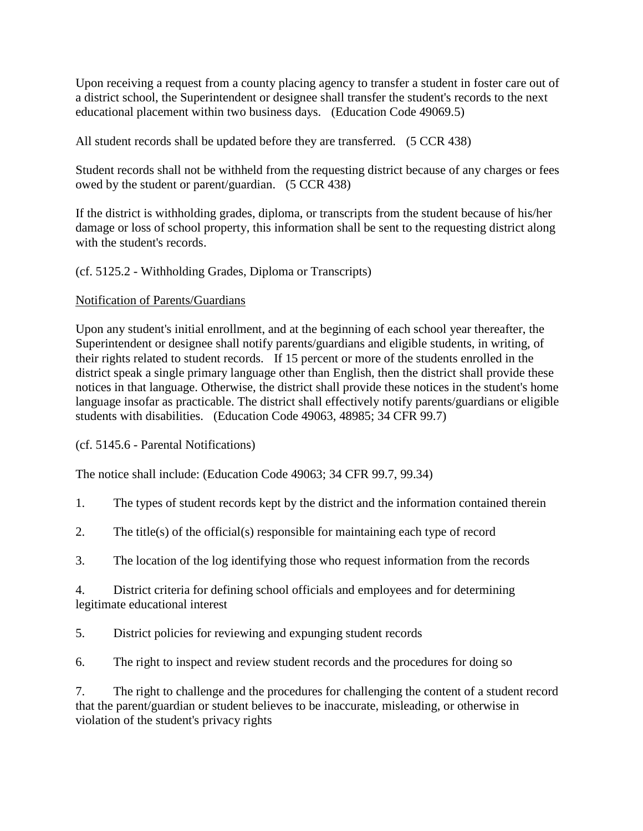Upon receiving a request from a county placing agency to transfer a student in foster care out of a district school, the Superintendent or designee shall transfer the student's records to the next educational placement within two business days. (Education Code 49069.5)

All student records shall be updated before they are transferred. (5 CCR 438)

Student records shall not be withheld from the requesting district because of any charges or fees owed by the student or parent/guardian. (5 CCR 438)

If the district is withholding grades, diploma, or transcripts from the student because of his/her damage or loss of school property, this information shall be sent to the requesting district along with the student's records.

## (cf. 5125.2 - Withholding Grades, Diploma or Transcripts)

## Notification of Parents/Guardians

Upon any student's initial enrollment, and at the beginning of each school year thereafter, the Superintendent or designee shall notify parents/guardians and eligible students, in writing, of their rights related to student records. If 15 percent or more of the students enrolled in the district speak a single primary language other than English, then the district shall provide these notices in that language. Otherwise, the district shall provide these notices in the student's home language insofar as practicable. The district shall effectively notify parents/guardians or eligible students with disabilities. (Education Code 49063, 48985; 34 CFR 99.7)

(cf. 5145.6 - Parental Notifications)

The notice shall include: (Education Code 49063; 34 CFR 99.7, 99.34)

- 1. The types of student records kept by the district and the information contained therein
- 2. The title(s) of the official(s) responsible for maintaining each type of record
- 3. The location of the log identifying those who request information from the records
- 4. District criteria for defining school officials and employees and for determining legitimate educational interest
- 5. District policies for reviewing and expunging student records
- 6. The right to inspect and review student records and the procedures for doing so

7. The right to challenge and the procedures for challenging the content of a student record that the parent/guardian or student believes to be inaccurate, misleading, or otherwise in violation of the student's privacy rights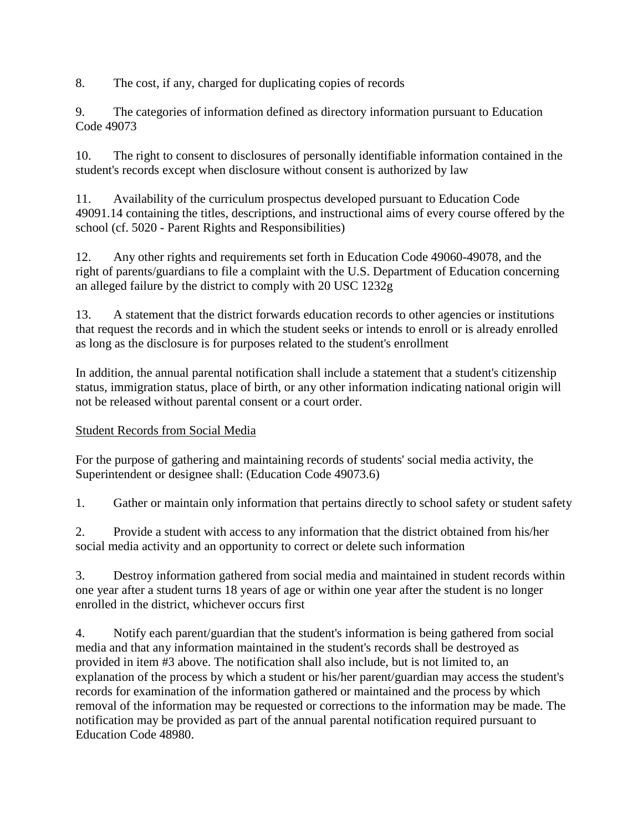8. The cost, if any, charged for duplicating copies of records

9. The categories of information defined as directory information pursuant to Education Code 49073

10. The right to consent to disclosures of personally identifiable information contained in the student's records except when disclosure without consent is authorized by law

11. Availability of the curriculum prospectus developed pursuant to Education Code 49091.14 containing the titles, descriptions, and instructional aims of every course offered by the school (cf. 5020 - Parent Rights and Responsibilities)

12. Any other rights and requirements set forth in Education Code 49060-49078, and the right of parents/guardians to file a complaint with the U.S. Department of Education concerning an alleged failure by the district to comply with 20 USC 1232g

13. A statement that the district forwards education records to other agencies or institutions that request the records and in which the student seeks or intends to enroll or is already enrolled as long as the disclosure is for purposes related to the student's enrollment

In addition, the annual parental notification shall include a statement that a student's citizenship status, immigration status, place of birth, or any other information indicating national origin will not be released without parental consent or a court order.

# Student Records from Social Media

For the purpose of gathering and maintaining records of students' social media activity, the Superintendent or designee shall: (Education Code 49073.6)

1. Gather or maintain only information that pertains directly to school safety or student safety

2. Provide a student with access to any information that the district obtained from his/her social media activity and an opportunity to correct or delete such information

3. Destroy information gathered from social media and maintained in student records within one year after a student turns 18 years of age or within one year after the student is no longer enrolled in the district, whichever occurs first

4. Notify each parent/guardian that the student's information is being gathered from social media and that any information maintained in the student's records shall be destroyed as provided in item #3 above. The notification shall also include, but is not limited to, an explanation of the process by which a student or his/her parent/guardian may access the student's records for examination of the information gathered or maintained and the process by which removal of the information may be requested or corrections to the information may be made. The notification may be provided as part of the annual parental notification required pursuant to Education Code 48980.